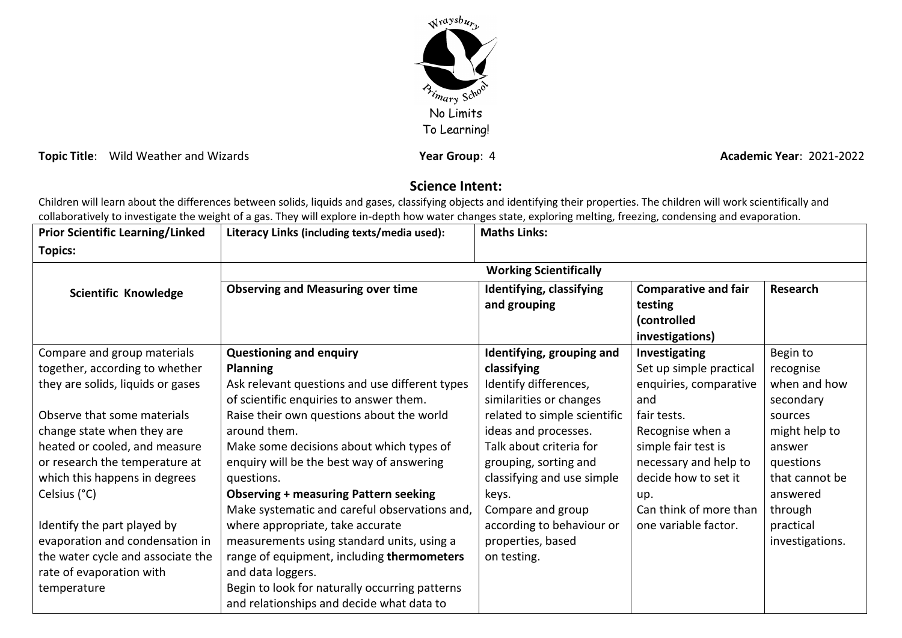

**Topic Title**: Wild Weather and Wizards **Year Group**: 4 **Academic Year: 2021-2022 Academic Year: 2021-2022** 

## **Science Intent:**

Children will learn about the differences between solids, liquids and gases, classifying objects and identifying their properties. The children will work scientifically and collaboratively to investigate the weight of a gas. They will explore in-depth how water changes state, exploring melting, freezing, condensing and evaporation.

| <b>Prior Scientific Learning/Linked</b> | Literacy Links (including texts/media used):                                                | <b>Maths Links:</b>                              |                                                                          |                           |
|-----------------------------------------|---------------------------------------------------------------------------------------------|--------------------------------------------------|--------------------------------------------------------------------------|---------------------------|
| <b>Topics:</b>                          |                                                                                             |                                                  |                                                                          |                           |
|                                         | <b>Working Scientifically</b>                                                               |                                                  |                                                                          |                           |
| Scientific Knowledge                    | <b>Observing and Measuring over time</b>                                                    | Identifying, classifying<br>and grouping         | <b>Comparative and fair</b><br>testing<br>(controlled<br>investigations) | Research                  |
| Compare and group materials             | <b>Questioning and enquiry</b>                                                              | Identifying, grouping and                        | Investigating                                                            | Begin to                  |
| together, according to whether          | <b>Planning</b>                                                                             | classifying                                      | Set up simple practical                                                  | recognise                 |
| they are solids, liquids or gases       | Ask relevant questions and use different types<br>of scientific enquiries to answer them.   | Identify differences,<br>similarities or changes | enquiries, comparative<br>and                                            | when and how<br>secondary |
| Observe that some materials             | Raise their own questions about the world                                                   | related to simple scientific                     | fair tests.                                                              | sources                   |
| change state when they are              | around them.                                                                                | ideas and processes.                             | Recognise when a                                                         | might help to             |
| heated or cooled, and measure           | Make some decisions about which types of                                                    | Talk about criteria for                          | simple fair test is                                                      | answer                    |
| or research the temperature at          | enquiry will be the best way of answering                                                   | grouping, sorting and                            | necessary and help to                                                    | questions                 |
| which this happens in degrees           | questions.                                                                                  | classifying and use simple                       | decide how to set it                                                     | that cannot be            |
| Celsius (°C)                            | <b>Observing + measuring Pattern seeking</b>                                                | keys.                                            | up.                                                                      | answered                  |
|                                         | Make systematic and careful observations and,                                               | Compare and group                                | Can think of more than                                                   | through                   |
| Identify the part played by             | where appropriate, take accurate                                                            | according to behaviour or                        | one variable factor.                                                     | practical                 |
| evaporation and condensation in         | measurements using standard units, using a                                                  | properties, based                                |                                                                          | investigations.           |
| the water cycle and associate the       | range of equipment, including thermometers                                                  | on testing.                                      |                                                                          |                           |
| rate of evaporation with                | and data loggers.                                                                           |                                                  |                                                                          |                           |
| temperature                             | Begin to look for naturally occurring patterns<br>and relationships and decide what data to |                                                  |                                                                          |                           |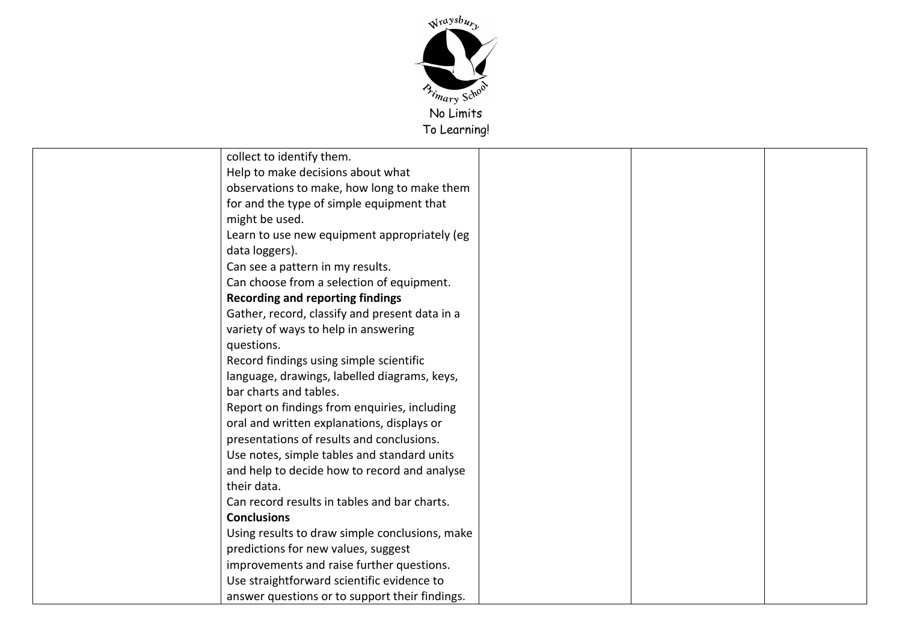

| collect to identify them.                      |
|------------------------------------------------|
| Help to make decisions about what              |
| observations to make, how long to make them    |
| for and the type of simple equipment that      |
| might be used.                                 |
| Learn to use new equipment appropriately (eg   |
| data loggers).                                 |
| Can see a pattern in my results.               |
| Can choose from a selection of equipment.      |
| <b>Recording and reporting findings</b>        |
| Gather, record, classify and present data in a |
| variety of ways to help in answering           |
| questions.                                     |
| Record findings using simple scientific        |
| language, drawings, labelled diagrams, keys,   |
| bar charts and tables.                         |
| Report on findings from enquiries, including   |
| oral and written explanations, displays or     |
| presentations of results and conclusions.      |
| Use notes, simple tables and standard units    |
| and help to decide how to record and analyse   |
| their data.                                    |
| Can record results in tables and bar charts.   |
| <b>Conclusions</b>                             |
| Using results to draw simple conclusions, make |
| predictions for new values, suggest            |
| improvements and raise further questions.      |
| Use straightforward scientific evidence to     |
| answer questions or to support their findings. |